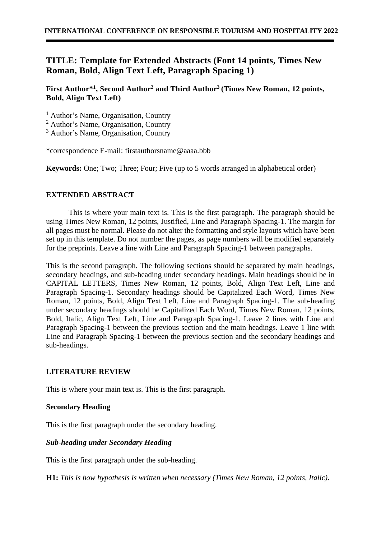# **TITLE: Template for Extended Abstracts (Font 14 points, Times New Roman, Bold, Align Text Left, Paragraph Spacing 1)**

**First Author\* 1 , Second Author<sup>2</sup> and Third Author<sup>3</sup> (Times New Roman, 12 points, Bold, Align Text Left)**

<sup>1</sup> Author's Name, Organisation, Country

<sup>2</sup> Author's Name, Organisation, Country

<sup>3</sup> Author's Name, Organisation, Country

\*correspondence E-mail: [firstauthorsname@aaaa.bbb](mailto:firstauthorsname@aaaa.bbb)

**Keywords:** One: Two: Three: Four: Five (up to 5 words arranged in alphabetical order)

# **EXTENDED ABSTRACT**

This is where your main text is. This is the first paragraph. The paragraph should be using Times New Roman, 12 points, Justified, Line and Paragraph Spacing-1. The margin for all pages must be normal. Please do not alter the formatting and style layouts which have been set up in this template. Do not number the pages, as page numbers will be modified separately for the preprints. Leave a line with Line and Paragraph Spacing-1 between paragraphs.

This is the second paragraph. The following sections should be separated by main headings, secondary headings, and sub-heading under secondary headings. Main headings should be in CAPITAL LETTERS, Times New Roman, 12 points, Bold, Align Text Left, Line and Paragraph Spacing-1. Secondary headings should be Capitalized Each Word, Times New Roman, 12 points, Bold, Align Text Left, Line and Paragraph Spacing-1. The sub-heading under secondary headings should be Capitalized Each Word, Times New Roman, 12 points, Bold, Italic, Align Text Left, Line and Paragraph Spacing-1. Leave 2 lines with Line and Paragraph Spacing-1 between the previous section and the main headings. Leave 1 line with Line and Paragraph Spacing-1 between the previous section and the secondary headings and sub-headings.

# **LITERATURE REVIEW**

This is where your main text is. This is the first paragraph.

# **Secondary Heading**

This is the first paragraph under the secondary heading.

# *Sub-heading under Secondary Heading*

This is the first paragraph under the sub-heading.

**H1:** *This is how hypothesis is written when necessary (Times New Roman, 12 points, Italic)*.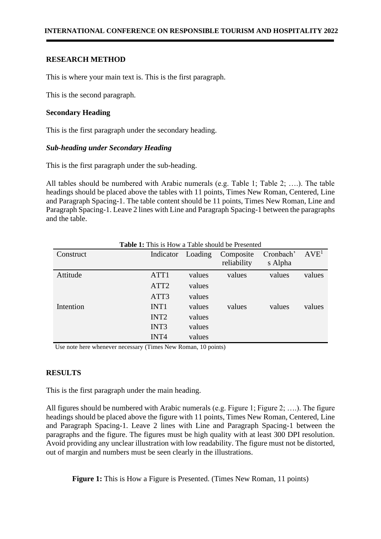### **RESEARCH METHOD**

This is where your main text is. This is the first paragraph.

This is the second paragraph.

### **Secondary Heading**

This is the first paragraph under the secondary heading.

### *Sub-heading under Secondary Heading*

This is the first paragraph under the sub-heading.

All tables should be numbered with Arabic numerals (e.g. Table 1; Table 2; ….). The table headings should be placed above the tables with 11 points, Times New Roman, Centered, Line and Paragraph Spacing-1. The table content should be 11 points, Times New Roman, Line and Paragraph Spacing-1. Leave 2 lines with Line and Paragraph Spacing-1 between the paragraphs and the table.

| Construct | Indicator        | Loading | Composite<br>reliability | Cronbach'<br>s Alpha | AVE <sup>1</sup> |
|-----------|------------------|---------|--------------------------|----------------------|------------------|
| Attitude  | ATT1             | values  | values                   | values               | values           |
|           | ATT <sub>2</sub> | values  |                          |                      |                  |
|           | ATT3             | values  |                          |                      |                  |
| Intention | INT1             | values  | values                   | values               | values           |
|           | INT <sub>2</sub> | values  |                          |                      |                  |
|           | INT3             | values  |                          |                      |                  |
|           | INT4             | values  |                          |                      |                  |

**Table 1:** This is How a Table should be Presented

Use note here whenever necessary (Times New Roman, 10 points)

# **RESULTS**

This is the first paragraph under the main heading.

All figures should be numbered with Arabic numerals (e.g. Figure 1; Figure 2; ….). The figure headings should be placed above the figure with 11 points, Times New Roman, Centered, Line and Paragraph Spacing-1. Leave 2 lines with Line and Paragraph Spacing-1 between the paragraphs and the figure. The figures must be high quality with at least 300 DPI resolution. Avoid providing any unclear illustration with low readability. The figure must not be distorted, out of margin and numbers must be seen clearly in the illustrations.

**Figure 1:** This is How a Figure is Presented. (Times New Roman, 11 points)